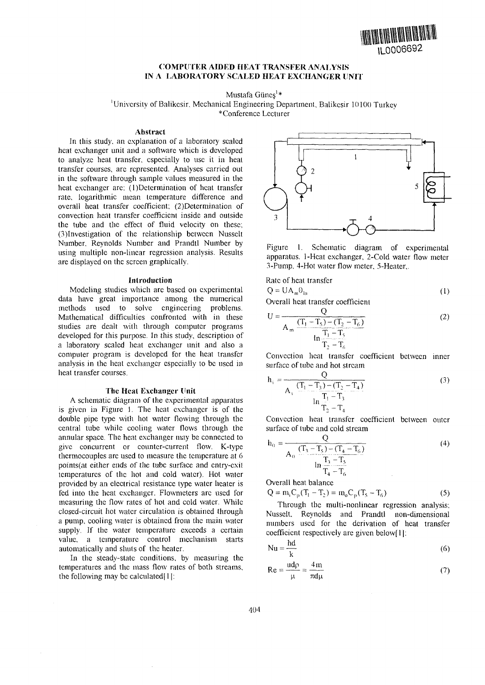

## **COMPUTER AIDED HEAT TRANSFER ANALYSIS IN A LABORATORY SCALED HEAT EXCHANGER UNIT**

Mustafa Güneş<sup>1</sup>\*

'University of Balikcsir. Mechanical Engineering Department. Balikesir 10100 Turkey

\*Conference Lecturer

#### **Abstract**

In this study, an explanation of a laboratory scaled heat exchanger unit and a software which is developed to analyze heat transfer, especially to use it in heat transfer courses, are represented. Analyses carried out in the software through sample values measured in the heat exchanger are:  $(1)$ Determination of heat transfer rate, logarithmic mean temperature difference and overall heat transfer coefficient; (2)Determination of convection heat transfer coefficient inside and outside the tube and the effect of fluid velocity on these; (3)Investigation of the relationship between Nusselt Number. Reynolds Number and Prandtl Number by using multiple non-linear regression analysis. Results are displayed on the screen graphically.

### Introduction

Modeling studies which are based on experimental data have great importance among the numerical methods used to solve engineering problems. Mathematical difficulties confronted with in these studies are dealt with through computer programs developed for this purpose. In this study, description of a laboratory scaled heat exchanger unit and also a computer program is developed for the heat transfer analysis in the heat exchanger especially to be used in heat transfer courses.

### **The Heat Exchanger Unit**

A schematic diagram of the experimental apparatus is given in Figure 1. The heat exchanger is of the double pipe type with hot water flowing through the central tube while cooling water flows through the annular space. The heat exchanger may be connected to give concurrent or counter-current flow. K-type thermocouples are used to measure the temperature at 6 points(at either ends of the tube surface and entry-exit temperatures of the hoi and cold water). Hot water provided by an electrical resistance type water heater is fed into the heat exchanger. Flowmeters arc used for measuring the flow rates of hot and cold water. While closed-circuit hot water circulation is obtained through a pump, cooling water is obtained from the main water supply. If the water temperature exceeds a certain value, a temperature control mechanism starts automatically and shuts of the heater.

In the steady-state conditions, by measuring the temperatures and the mass flow rates of both streams, the following may be calculated $[1]$ :



Figure 1. Schematic diagram of experimental apparatus. 1 -Heat exchanger, 2-Cold water flow meter 3-Pump. 4-Hot water flow meter, 5-Heater,.

Rate of heat transfer

$$
Q = UA_m\theta_{ln}
$$
 (1)

Overall heat transfer coefficient

$$
U = \frac{Q}{A_m \frac{(T_1 - T_5) - (T_2 - T_6)}{\ln \frac{T_1 - T_5}{T_2 - T_6}}}
$$
(2)

Convection heat transfer coefficient between inner surface of tube and hot stream

$$
h_{i} = \frac{Q}{A_{i} \frac{(T_{1} - T_{3}) - (T_{2} - T_{4})}{T_{1} - T_{3}}}
$$
(3)

Convection heat transfer coefficient between outer surface of tube and cold stream

$$
h_0 = \frac{Q}{A_0 \frac{(T_3 - T_5) - (T_4 - T_6)}{\ln \frac{T_3 - T_5}{T_4 - T_6}}}
$$
(4)

Overall heat balance

$$
Q = m_i C_p (T_1 - T_2) = m_o C_p (T_5 - T_6)
$$
 (5)

Through the multi-nonlinear regression analysis; Nusselt. Reynolds and Prandtl non-dimensional numbers used for the derivation of heat transfer coefficient respectively are given below[1]:

$$
Nu = \frac{hd}{k} \tag{6}
$$

$$
Re = \frac{ud\rho}{\mu} = \frac{4m}{\pi d\mu}
$$
 (7)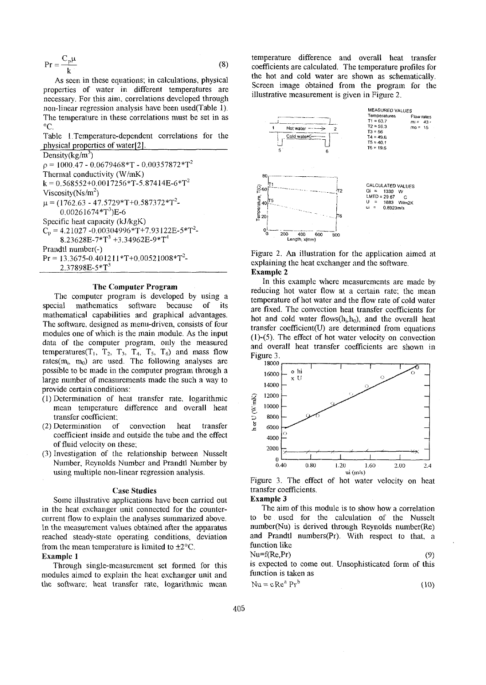$$
Pr = \frac{C_p \mu}{k}
$$
 (8)

As seen in these equations; in calculations, physical properties of water in different temperatures are necessary. For this aim, correlations developed through non-linear regression analysis have been used(Table 1). The temperature in these correlations must be set in as °C.

Table 1 Temperature-dependent correlations for the physical properties of water[2].

Density( $kg/m<sup>3</sup>$ )  $p = 1000.47 - 0.0679468*T - 0.00357872*T<sup>2</sup>$ Thermal conductivity (W/mK)  $k = 0.568552+0.0017256*T-5.87414E-6*T<sup>2</sup>$ Viscosity (Ns/m<sup>2</sup>)  $\mu$  = (1762.63 - 47.5729\*T+0.587372\*T<sup>2</sup>- $0.00261674*T^3)$ E-6 Specific heat capacity (kJ/kgK)  $C_p = 4.21027 - 0.00304996*T + 7.93122E - 5*T^2$  $8.23628E$ -7\* $T^3$  +3.34962E-9\* $T^4$ Prandtl number(-)  $Pr = 13.3675 - 0.401211 * T + 0.00521008 * T^2$ 2.37898E-5\*T<sup>3</sup>

### **The Computer Program**

The computer program is developed by using a special mathematics software because of its mathematical capabilities and graphical advantages. The software, designed as menu-driven, consists of four modules one of which is the main module. As the input data of the computer program, only the measured temperatures( $T_1$ ,  $T_2$ ,  $T_3$ ,  $T_4$ ,  $T_5$ ,  $T_6$ ) and mass flow rates( $m_i$ ,  $m_0$ ) are used. The following analyses are possible to be made in the computer program through a large number of measurements made the such a way to provide certain conditions:

- (1) Determination of heat transfer rate, logarithmic mean temperature difference and overall heat transfer coefficient;
- (2) Determination of convection heat transfer coefficient inside and outside the tube and the effect of fluid velocity on these;
- (3) Investigation of the relationship between Nusselt Number, Reynolds Number and Prandtl Number by using multiple non-linear regression analysis.

### Case **Studies**

Some illustrative applications have been carried out in the heat exchanger unit connected for the countercurrent flow to explain the analyses summarized above. In the measurement values obtained after the apparatus reached steady-state operating conditions, deviation from the mean temperature is limited to  $\pm 2^{\circ}$ C. **Example** 1

Through single-measurement set formed for this modules aimed to explain the heat exchanger unit and the software; heat transfer rate, logarithmic mean

temperature difference and overall heat transfer coefficients are calculated. The temperature profiles for the hot and cold water are shown as schematically. Screen image obtained from the program for the illustrative measurement is given in Figure 2.



Figure 2. An illustration for the application aimed at explaining the heat exchanger and the software. **Example 2**

In this example where measurements are made by reducing hot water flow at a certain rate; the mean temperature of hot water and the flow rate of cold water are fixed. The convection heat transfer coefficients for hot and cold water flows $(h_i, h_0)$ , and the overall heat transfer coefficient(U) are determined from equations (l)-(5). The effect of hot water velocity on convection and overall heat transfer coefficients are shown in Figure 3.



Figure 3. The effect of hot water velocity on heat transfer coefficients.

# **Example 3**

The aim of this module is to show how a correlation to be used for the calculation of the Nusselt number(Nu) is derived through Reynolds number(Re) and Prandtl numbers(Pr). With respect to that, a function like  $Nu = f(Re, Pr)$  (9)

is expected to come out. Unsophisticated form of this function is taken as\n
$$
f(x) = \frac{1}{2\pi} \int_{-\infty}^{\infty} f(x) \, dx
$$

$$
Nu = c Rea Prb
$$
 (10)